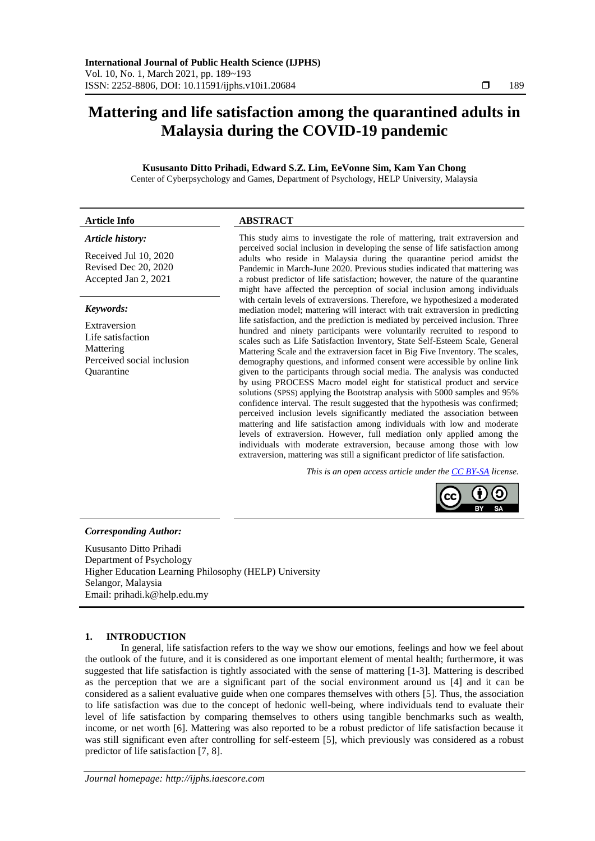# **Mattering and life satisfaction among the quarantined adults in Malaysia during the COVID-19 pandemic**

# **Kususanto Ditto Prihadi, Edward S.Z. Lim, EeVonne Sim, Kam Yan Chong**

Center of Cyberpsychology and Games, Department of Psychology, HELP University, Malaysia

# **Article Info ABSTRACT**

# *Article history:*

Received Jul 10, 2020 Revised Dec 20, 2020 Accepted Jan 2, 2021

# *Keywords:*

Extraversion Life satisfaction Mattering Perceived social inclusion Quarantine

This study aims to investigate the role of mattering, trait extraversion and perceived social inclusion in developing the sense of life satisfaction among adults who reside in Malaysia during the quarantine period amidst the Pandemic in March-June 2020. Previous studies indicated that mattering was a robust predictor of life satisfaction; however, the nature of the quarantine might have affected the perception of social inclusion among individuals with certain levels of extraversions. Therefore, we hypothesized a moderated mediation model; mattering will interact with trait extraversion in predicting life satisfaction, and the prediction is mediated by perceived inclusion. Three hundred and ninety participants were voluntarily recruited to respond to scales such as Life Satisfaction Inventory, State Self-Esteem Scale, General Mattering Scale and the extraversion facet in Big Five Inventory. The scales, demography questions, and informed consent were accessible by online link given to the participants through social media. The analysis was conducted by using PROCESS Macro model eight for statistical product and service solutions (SPSS) applying the Bootstrap analysis with 5000 samples and 95% confidence interval. The result suggested that the hypothesis was confirmed; perceived inclusion levels significantly mediated the association between mattering and life satisfaction among individuals with low and moderate levels of extraversion. However, full mediation only applied among the individuals with moderate extraversion, because among those with low extraversion, mattering was still a significant predictor of life satisfaction.

*This is an open access article under the [CC BY-SA](https://creativecommons.org/licenses/by-sa/4.0/) license.*



# *Corresponding Author:*

Kususanto Ditto Prihadi Department of Psychology Higher Education Learning Philosophy (HELP) University Selangor, Malaysia Email: prihadi.k@help.edu.my

# **1. INTRODUCTION**

In general, life satisfaction refers to the way we show our emotions, feelings and how we feel about the outlook of the future, and it is considered as one important element of mental health; furthermore, it was suggested that life satisfaction is tightly associated with the sense of mattering [1-3]. Mattering is described as the perception that we are a significant part of the social environment around us [4] and it can be considered as a salient evaluative guide when one compares themselves with others [5]. Thus, the association to life satisfaction was due to the concept of hedonic well-being, where individuals tend to evaluate their level of life satisfaction by comparing themselves to others using tangible benchmarks such as wealth, income, or net worth [6]. Mattering was also reported to be a robust predictor of life satisfaction because it was still significant even after controlling for self-esteem [5], which previously was considered as a robust predictor of life satisfaction [7, 8].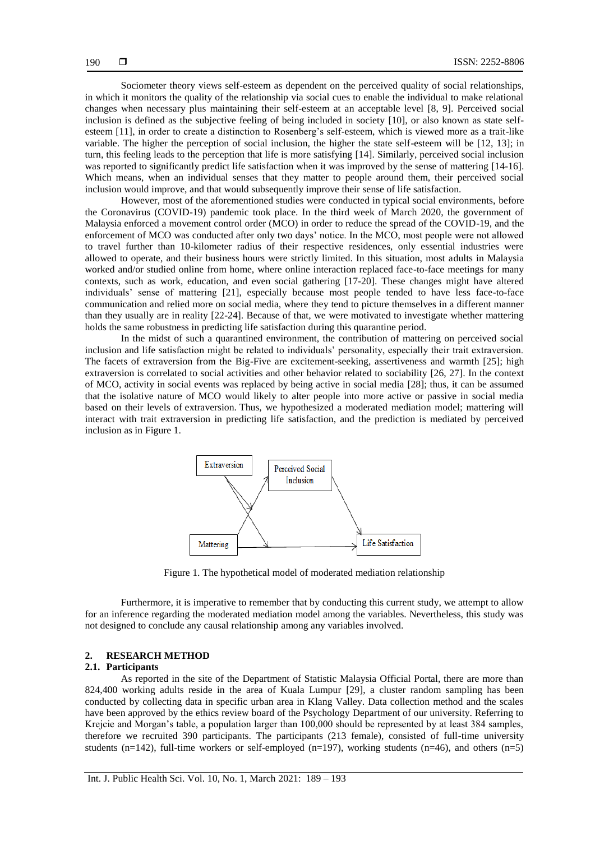Sociometer theory views self-esteem as dependent on the perceived quality of social relationships, in which it monitors the quality of the relationship via social cues to enable the individual to make relational changes when necessary plus maintaining their self-esteem at an acceptable level [8, 9]. Perceived social inclusion is defined as the subjective feeling of being included in society [10], or also known as state selfesteem [11], in order to create a distinction to Rosenberg"s self-esteem, which is viewed more as a trait-like variable. The higher the perception of social inclusion, the higher the state self-esteem will be [12, 13]; in turn, this feeling leads to the perception that life is more satisfying [14]. Similarly, perceived social inclusion was reported to significantly predict life satisfaction when it was improved by the sense of mattering [14-16]. Which means, when an individual senses that they matter to people around them, their perceived social inclusion would improve, and that would subsequently improve their sense of life satisfaction.

However, most of the aforementioned studies were conducted in typical social environments, before the Coronavirus (COVID-19) pandemic took place. In the third week of March 2020, the government of Malaysia enforced a movement control order (MCO) in order to reduce the spread of the COVID-19, and the enforcement of MCO was conducted after only two days" notice. In the MCO, most people were not allowed to travel further than 10-kilometer radius of their respective residences, only essential industries were allowed to operate, and their business hours were strictly limited. In this situation, most adults in Malaysia worked and/or studied online from home, where online interaction replaced face-to-face meetings for many contexts, such as work, education, and even social gathering [17-20]. These changes might have altered individuals" sense of mattering [21], especially because most people tended to have less face-to-face communication and relied more on social media, where they tend to picture themselves in a different manner than they usually are in reality [22-24]. Because of that, we were motivated to investigate whether mattering holds the same robustness in predicting life satisfaction during this quarantine period.

In the midst of such a quarantined environment, the contribution of mattering on perceived social inclusion and life satisfaction might be related to individuals" personality, especially their trait extraversion. The facets of extraversion from the Big-Five are excitement-seeking, assertiveness and warmth [25]; high extraversion is correlated to social activities and other behavior related to sociability [26, 27]. In the context of MCO, activity in social events was replaced by being active in social media [28]; thus, it can be assumed that the isolative nature of MCO would likely to alter people into more active or passive in social media based on their levels of extraversion. Thus, we hypothesized a moderated mediation model; mattering will interact with trait extraversion in predicting life satisfaction, and the prediction is mediated by perceived inclusion as in Figure 1.



Figure 1. The hypothetical model of moderated mediation relationship

Furthermore, it is imperative to remember that by conducting this current study, we attempt to allow for an inference regarding the moderated mediation model among the variables. Nevertheless, this study was not designed to conclude any causal relationship among any variables involved.

### **2. RESEARCH METHOD**

# **2.1. Participants**

As reported in the site of the Department of Statistic Malaysia Official Portal, there are more than 824,400 working adults reside in the area of Kuala Lumpur [29], a cluster random sampling has been conducted by collecting data in specific urban area in Klang Valley. Data collection method and the scales have been approved by the ethics review board of the Psychology Department of our university. Referring to Krejcie and Morgan"s table, a population larger than 100,000 should be represented by at least 384 samples, therefore we recruited 390 participants. The participants (213 female), consisted of full-time university students (n=142), full-time workers or self-employed (n=197), working students (n=46), and others (n=5)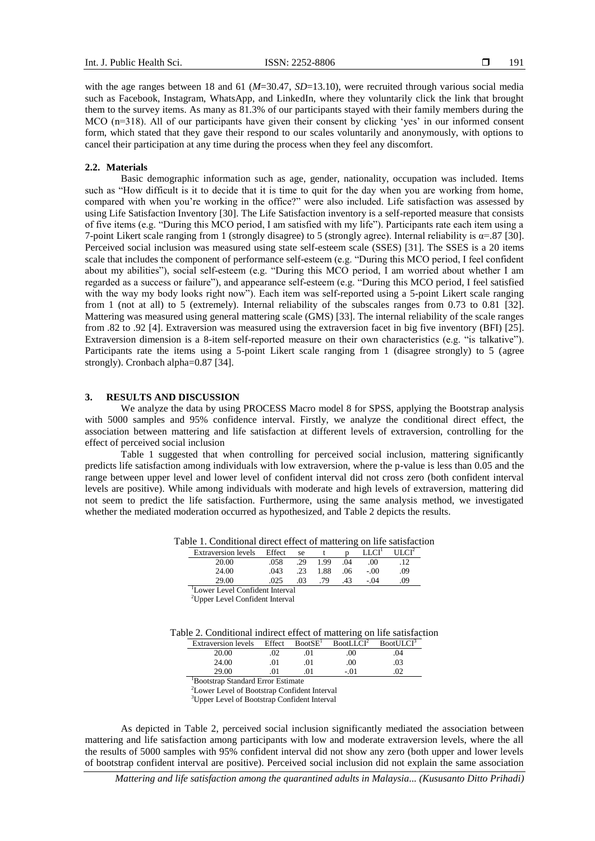with the age ranges between 18 and 61 ( $M=30.47$ ,  $SD=13.10$ ), were recruited through various social media such as Facebook, Instagram, WhatsApp, and LinkedIn, where they voluntarily click the link that brought them to the survey items. As many as 81.3% of our participants stayed with their family members during the MCO (n=318). All of our participants have given their consent by clicking 'yes' in our informed consent form, which stated that they gave their respond to our scales voluntarily and anonymously, with options to cancel their participation at any time during the process when they feel any discomfort.

#### **2.2. Materials**

Basic demographic information such as age, gender, nationality, occupation was included. Items such as "How difficult is it to decide that it is time to quit for the day when you are working from home, compared with when you"re working in the office?" were also included. Life satisfaction was assessed by using Life Satisfaction Inventory [30]. The Life Satisfaction inventory is a self-reported measure that consists of five items (e.g. "During this MCO period, I am satisfied with my life"). Participants rate each item using a 7-point Likert scale ranging from 1 (strongly disagree) to 5 (strongly agree). Internal reliability is  $\alpha = .87$  [30]. Perceived social inclusion was measured using state self-esteem scale (SSES) [31]. The SSES is a 20 items scale that includes the component of performance self-esteem (e.g. "During this MCO period, I feel confident about my abilities"), social self-esteem (e.g. "During this MCO period, I am worried about whether I am regarded as a success or failure"), and appearance self-esteem (e.g. "During this MCO period, I feel satisfied with the way my body looks right now"). Each item was self-reported using a 5-point Likert scale ranging from 1 (not at all) to 5 (extremely). Internal reliability of the subscales ranges from 0.73 to 0.81 [32]. Mattering was measured using general mattering scale (GMS) [33]. The internal reliability of the scale ranges from .82 to .92 [4]. Extraversion was measured using the extraversion facet in big five inventory (BFI) [25]. Extraversion dimension is a 8-item self-reported measure on their own characteristics (e.g. "is talkative"). Participants rate the items using a 5-point Likert scale ranging from 1 (disagree strongly) to 5 (agree strongly). Cronbach alpha=0.87 [34].

#### **3. RESULTS AND DISCUSSION**

We analyze the data by using PROCESS Macro model 8 for SPSS, applying the Bootstrap analysis with 5000 samples and 95% confidence interval. Firstly, we analyze the conditional direct effect, the association between mattering and life satisfaction at different levels of extraversion, controlling for the effect of perceived social inclusion

Table 1 suggested that when controlling for perceived social inclusion, mattering significantly predicts life satisfaction among individuals with low extraversion, where the p-value is less than 0.05 and the range between upper level and lower level of confident interval did not cross zero (both confident interval levels are positive). While among individuals with moderate and high levels of extraversion, mattering did not seem to predict the life satisfaction. Furthermore, using the same analysis method, we investigated whether the mediated moderation occurred as hypothesized, and Table 2 depicts the results.

Table 1. Conditional direct effect of mattering on life satisfaction

| <b>Extraversion</b> levels | Effect                   | se  |      |     | LLCI <sup>1</sup> | ULCI <sup>2</sup> |
|----------------------------|--------------------------|-----|------|-----|-------------------|-------------------|
| 20.00                      | .058                     | .29 | 1.99 | .04 | .00 <sub>1</sub>  | .12               |
| 24.00                      | .043                     | .23 | 1.88 | .06 | $-.00$            | .09               |
| 29.00                      | .025                     | .03 | 79   | .43 | $-.04$            | .09               |
| $\sim$                     | $\sim$ 1 $\sim$ 1 $\sim$ |     |      |     |                   |                   |

<sup>1</sup>Lower Level Confident Interval

<sup>2</sup>Upper Level Confident Interval

| <b>Extraversion</b> levels | Effect | BootSE <sup>1</sup> | BootLLCI <sup>2</sup> | BootULCI <sup>3</sup> |
|----------------------------|--------|---------------------|-----------------------|-----------------------|
| 20.00                      | .02    | 01                  | .00                   | .04                   |
| 24.00                      | 01     | .01                 | .00                   | .03                   |
| 29.00                      |        | 01                  | - 01                  | 02                    |

<sup>1</sup>Bootstrap Standard Error Estimate

<sup>2</sup>Lower Level of Bootstrap Confident Interval

<sup>3</sup>Upper Level of Bootstrap Confident Interval

As depicted in Table 2, perceived social inclusion significantly mediated the association between mattering and life satisfaction among participants with low and moderate extraversion levels, where the all the results of 5000 samples with 95% confident interval did not show any zero (both upper and lower levels of bootstrap confident interval are positive). Perceived social inclusion did not explain the same association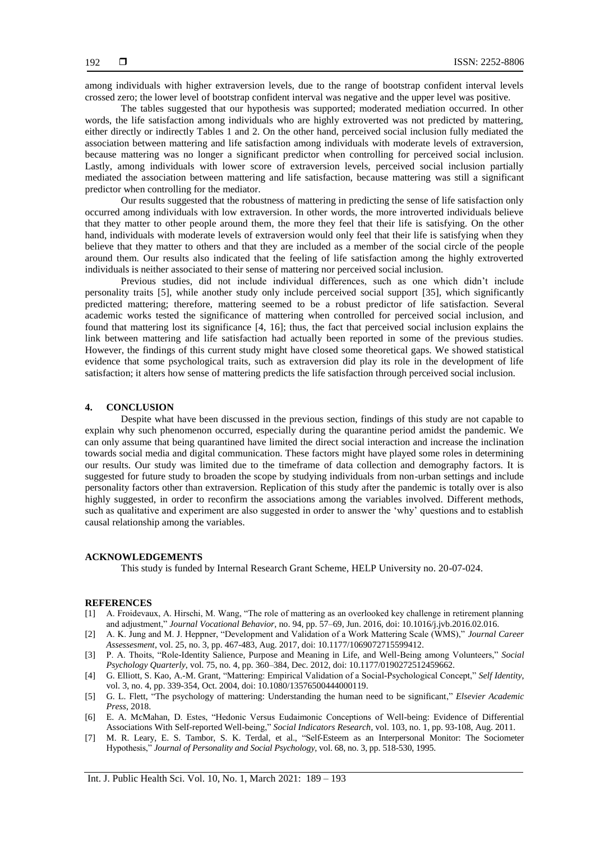among individuals with higher extraversion levels, due to the range of bootstrap confident interval levels crossed zero; the lower level of bootstrap confident interval was negative and the upper level was positive.

The tables suggested that our hypothesis was supported; moderated mediation occurred. In other words, the life satisfaction among individuals who are highly extroverted was not predicted by mattering, either directly or indirectly Tables 1 and 2. On the other hand, perceived social inclusion fully mediated the association between mattering and life satisfaction among individuals with moderate levels of extraversion, because mattering was no longer a significant predictor when controlling for perceived social inclusion. Lastly, among individuals with lower score of extraversion levels, perceived social inclusion partially mediated the association between mattering and life satisfaction, because mattering was still a significant predictor when controlling for the mediator.

Our results suggested that the robustness of mattering in predicting the sense of life satisfaction only occurred among individuals with low extraversion. In other words, the more introverted individuals believe that they matter to other people around them, the more they feel that their life is satisfying. On the other hand, individuals with moderate levels of extraversion would only feel that their life is satisfying when they believe that they matter to others and that they are included as a member of the social circle of the people around them. Our results also indicated that the feeling of life satisfaction among the highly extroverted individuals is neither associated to their sense of mattering nor perceived social inclusion.

Previous studies, did not include individual differences, such as one which didn"t include personality traits [5], while another study only include perceived social support [35], which significantly predicted mattering; therefore, mattering seemed to be a robust predictor of life satisfaction. Several academic works tested the significance of mattering when controlled for perceived social inclusion, and found that mattering lost its significance [4, 16]; thus, the fact that perceived social inclusion explains the link between mattering and life satisfaction had actually been reported in some of the previous studies. However, the findings of this current study might have closed some theoretical gaps. We showed statistical evidence that some psychological traits, such as extraversion did play its role in the development of life satisfaction; it alters how sense of mattering predicts the life satisfaction through perceived social inclusion.

#### **4. CONCLUSION**

Despite what have been discussed in the previous section, findings of this study are not capable to explain why such phenomenon occurred, especially during the quarantine period amidst the pandemic. We can only assume that being quarantined have limited the direct social interaction and increase the inclination towards social media and digital communication. These factors might have played some roles in determining our results. Our study was limited due to the timeframe of data collection and demography factors. It is suggested for future study to broaden the scope by studying individuals from non-urban settings and include personality factors other than extraversion. Replication of this study after the pandemic is totally over is also highly suggested, in order to reconfirm the associations among the variables involved. Different methods, such as qualitative and experiment are also suggested in order to answer the "why" questions and to establish causal relationship among the variables.

#### **ACKNOWLEDGEMENTS**

This study is funded by Internal Research Grant Scheme, HELP University no. 20-07-024.

#### **REFERENCES**

- [1] A. Froidevaux, A. Hirschi, M. Wang, "The role of mattering as an overlooked key challenge in retirement planning and adjustment," *Journal Vocational Behavior*, no. 94, pp. 57–69, Jun. 2016, doi: 10.1016/j.jvb.2016.02.016.
- [2] A. K. Jung and M. J. Heppner, "Development and Validation of a Work Mattering Scale (WMS)," *Journal Career Assessesment*, vol. 25, no. 3, pp. 467-483, Aug. 2017, doi: 10.1177/1069072715599412.
- [3] P. A. Thoits, "Role-Identity Salience, Purpose and Meaning in Life, and Well-Being among Volunteers," *Social Psychology Quarterly*, vol. 75, no. 4, pp. 360–384, Dec. 2012, doi: 10.1177/0190272512459662.
- [4] G. Elliott, S. Kao, A.-M. Grant, "Mattering: Empirical Validation of a Social-Psychological Concept," *Self Identity*, vol. 3, no. 4, pp. 339-354, Oct. 2004, doi: 10.1080/13576500444000119.
- [5] G. L. Flett, "The psychology of mattering: Understanding the human need to be significant," *Elsevier Academic Press*, 2018.
- [6] E. A. McMahan, D. Estes, "Hedonic Versus Eudaimonic Conceptions of Well-being: Evidence of Differential Associations With Self-reported Well-being," *Social Indicators Research,* vol. 103, no. 1, pp. 93-108, Aug. 2011.
- [7] M. R. Leary, E. S. Tambor, S. K. Terdal, et al., "Self-Esteem as an Interpersonal Monitor: The Sociometer Hypothesis," *Journal of Personality and Social Psychology,* vol. 68, no. 3, pp. 518-530, 1995.